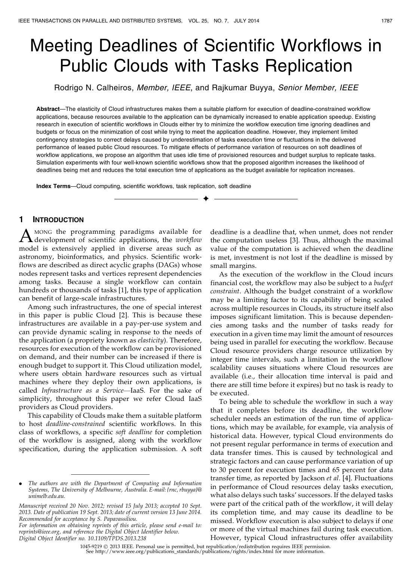# Meeting Deadlines of Scientific Workflows in Public Clouds with Tasks Replication

Rodrigo N. Calheiros, Member, IEEE, and Rajkumar Buyya, Senior Member, IEEE

Abstract—The elasticity of Cloud infrastructures makes them a suitable platform for execution of deadline-constrained workflow applications, because resources available to the application can be dynamically increased to enable application speedup. Existing research in execution of scientific workflows in Clouds either try to minimize the workflow execution time ignoring deadlines and budgets or focus on the minimization of cost while trying to meet the application deadline. However, they implement limited contingency strategies to correct delays caused by underestimation of tasks execution time or fluctuations in the delivered performance of leased public Cloud resources. To mitigate effects of performance variation of resources on soft deadlines of workflow applications, we propose an algorithm that uses idle time of provisioned resources and budget surplus to replicate tasks. Simulation experiments with four well-known scientific workflows show that the proposed algorithm increases the likelihood of deadlines being met and reduces the total execution time of applications as the budget available for replication increases.

 $\blacklozenge$ 

Index Terms—Cloud computing, scientific workflows, task replication, soft deadline

## 1 INTRODUCTION

 $A$  MONG the programming paradigms available for development of scientific applications, the *workflow* model is extensively applied in diverse areas such as astronomy, bioinformatics, and physics. Scientific workflows are described as direct acyclic graphs (DAGs) whose nodes represent tasks and vertices represent dependencies among tasks. Because a single workflow can contain hundreds or thousands of tasks [1], this type of application can benefit of large-scale infrastructures.

Among such infrastructures, the one of special interest in this paper is public Cloud [2]. This is because these infrastructures are available in a pay-per-use system and can provide dynamic scaling in response to the needs of the application (a propriety known as elasticity). Therefore, resources for execution of the workflow can be provisioned on demand, and their number can be increased if there is enough budget to support it. This Cloud utilization model, where users obtain hardware resources such as virtual machines where they deploy their own applications, is called Infrastructure as a Service-IaaS. For the sake of simplicity, throughout this paper we refer Cloud IaaS providers as Cloud providers.

This capability of Clouds make them a suitable platform to host deadline-constrained scientific workflows. In this class of workflows, a specific soft deadline for completion of the workflow is assigned, along with the workflow specification, during the application submission. A soft

For information on obtaining reprints of this article, please send e-mail to: reprints@ieee.org, and reference the Digital Object Identifier below. Digital Object Identifier no. 10.1109/TPDS.2013.238

deadline is a deadline that, when unmet, does not render the computation useless [3]. Thus, although the maximal value of the computation is achieved when the deadline is met, investment is not lost if the deadline is missed by small margins.

As the execution of the workflow in the Cloud incurs financial cost, the workflow may also be subject to a budget constraint. Although the budget constraint of a workflow may be a limiting factor to its capability of being scaled across multiple resources in Clouds, its structure itself also imposes significant limitation. This is because dependencies among tasks and the number of tasks ready for execution in a given time may limit the amount of resources being used in parallel for executing the workflow. Because Cloud resource providers charge resource utilization by integer time intervals, such a limitation in the workflow scalability causes situations where Cloud resources are available (i.e., their allocation time interval is paid and there are still time before it expires) but no task is ready to be executed.

To being able to schedule the workflow in such a way that it completes before its deadline, the workflow scheduler needs an estimation of the run time of applications, which may be available, for example, via analysis of historical data. However, typical Cloud environments do not present regular performance in terms of execution and data transfer times. This is caused by technological and strategic factors and can cause performance variation of up to 30 percent for execution times and 65 percent for data transfer time, as reported by Jackson et al. [4]. Fluctuations in performance of Cloud resources delay tasks execution, what also delays such tasks' successors. If the delayed tasks were part of the critical path of the workflow, it will delay its completion time, and may cause its deadline to be missed. Workflow execution is also subject to delays if one or more of the virtual machines fail during task execution. However, typical Cloud infrastructures offer availability

1045-9219 @ 2013 IEEE. Personal use is permitted, but republication/redistribution requires IEEE permission. See http://www.ieee.org/publications\_standards/publications/rights/index.html for more information.

<sup>.</sup> The authors are with the Department of Computing and Information Systems, The University of Melbourne, Australia. E-mail: {rnc, rbuyya}@ unimelb.edu.au.

Manuscript received 20 Nov. 2012; revised 15 July 2013; accepted 10 Sept. 2013. Date of publication 19 Sept. 2013; date of current version 13 June 2014. Recommended for acceptance by S. Papavassiliou.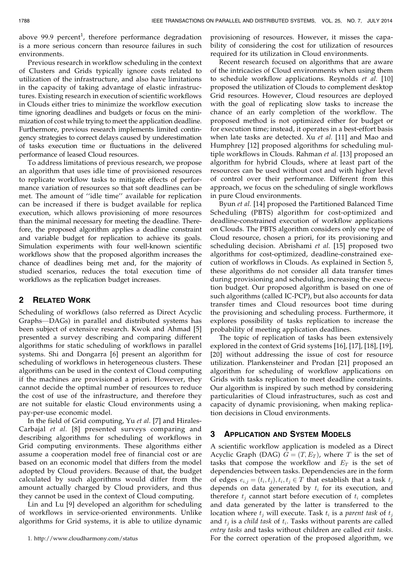above 99.9 percent<sup>1</sup>, therefore performance degradation is a more serious concern than resource failures in such environments.

Previous research in workflow scheduling in the context of Clusters and Grids typically ignore costs related to utilization of the infrastructure, and also have limitations in the capacity of taking advantage of elastic infrastructures. Existing research in execution of scientific workflows in Clouds either tries to minimize the workflow execution time ignoring deadlines and budgets or focus on the minimization of cost while trying to meet the application deadline. Furthermore, previous research implements limited contingency strategies to correct delays caused by underestimation of tasks execution time or fluctuations in the delivered performance of leased Cloud resources.

To address limitations of previous research, we propose an algorithm that uses idle time of provisioned resources to replicate workflow tasks to mitigate effects of performance variation of resources so that soft deadlines can be met. The amount of ''idle time'' available for replication can be increased if there is budget available for replica execution, which allows provisioning of more resources than the minimal necessary for meeting the deadline. Therefore, the proposed algorithm applies a deadline constraint and variable budget for replication to achieve its goals. Simulation experiments with four well-known scientific workflows show that the proposed algorithm increases the chance of deadlines being met and, for the majority of studied scenarios, reduces the total execution time of workflows as the replication budget increases.

## 2 RELATED WORK

Scheduling of workflows (also referred as Direct Acyclic Graphs-DAGs) in parallel and distributed systems has been subject of extensive research. Kwok and Ahmad [5] presented a survey describing and comparing different algorithms for static scheduling of workflows in parallel systems. Shi and Dongarra [6] present an algorithm for scheduling of workflows in heterogeneous clusters. These algorithms can be used in the context of Cloud computing if the machines are provisioned a priori. However, they cannot decide the optimal number of resources to reduce the cost of use of the infrastructure, and therefore they are not suitable for elastic Cloud environments using a pay-per-use economic model.

In the field of Grid computing, Yu et al. [7] and Hirales-Carbajal et al. [8] presented surveys comparing and describing algorithms for scheduling of workflows in Grid computing environments. These algorithms either assume a cooperation model free of financial cost or are based on an economic model that differs from the model adopted by Cloud providers. Because of that, the budget calculated by such algorithms would differ from the amount actually charged by Cloud providers, and thus they cannot be used in the context of Cloud computing.

Lin and Lu [9] developed an algorithm for scheduling of workflows in service-oriented environments. Unlike algorithms for Grid systems, it is able to utilize dynamic provisioning of resources. However, it misses the capability of considering the cost for utilization of resources required for its utilization in Cloud environments.

Recent research focused on algorithms that are aware of the intricacies of Cloud environments when using them to schedule workflow applications. Reynolds et al. [10] proposed the utilization of Clouds to complement desktop Grid resources. However, Cloud resources are deployed with the goal of replicating slow tasks to increase the chance of an early completion of the workflow. The proposed method is not optimized either for budget or for execution time; instead, it operates in a best-effort basis when late tasks are detected. Xu et al. [11] and Mao and Humphrey [12] proposed algorithms for scheduling multiple workflows in Clouds. Rahman et al. [13] proposed an algorithm for hybrid Clouds, where at least part of the resources can be used without cost and with higher level of control over their performance. Different from this approach, we focus on the scheduling of single workflows in pure Cloud environments.

Byun et al. [14] proposed the Partitioned Balanced Time Scheduling (PBTS) algorithm for cost-optimized and deadline-constrained execution of workflow applications on Clouds. The PBTS algorithm considers only one type of Cloud resource, chosen a priori, for its provisioning and scheduling decision. Abrishami et al. [15] proposed two algorithms for cost-optimized, deadline-constrained execution of workflows in Clouds. As explained in Section 5, these algorithms do not consider all data transfer times during provisioning and scheduling, increasing the execution budget. Our proposed algorithm is based on one of such algorithms (called IC-PCP), but also accounts for data transfer times and Cloud resources boot time during the provisioning and scheduling process. Furthermore, it explores possibility of tasks replication to increase the probability of meeting application deadlines.

The topic of replication of tasks has been extensively explored in the context of Grid systems [16], [17], [18], [19], [20] without addressing the issue of cost for resource utilization. Plankensteiner and Prodan [21] proposed an algorithm for scheduling of workflow applications on Grids with tasks replication to meet deadline constraints. Our algorithm is inspired by such method by considering particularities of Cloud infrastructures, such as cost and capacity of dynamic provisioning, when making replication decisions in Cloud environments.

#### 3 APPLICATION AND SYSTEM MODELS

A scientific workflow application is modeled as a Direct Acyclic Graph (DAG)  $G = (T, E_T)$ , where T is the set of tasks that compose the workflow and  $E_T$  is the set of dependencies between tasks. Dependencies are in the form of edges  $e_{i,j} = (t_i, t_j), t_i, t_j \in T$  that establish that a task  $t_j$ depends on data generated by  $t_i$  for its execution, and therefore  $t_i$  cannot start before execution of  $t_i$  completes and data generated by the latter is transferred to the location where  $t_i$  will execute. Task  $t_i$  is a parent task of  $t_i$ and  $t_i$  is a *child task* of  $t_i$ . Tasks without parents are called entry tasks and tasks without children are called exit tasks. 1. http://www.cloudharmony.com/status For the correct operation of the proposed algorithm, we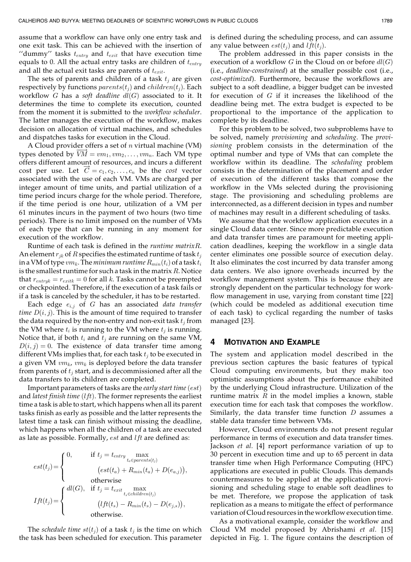assume that a workflow can have only one entry task and one exit task. This can be achieved with the insertion of "dummy" tasks  $t_{entry}$  and  $t_{exit}$  that have execution time equals to 0. All the actual entry tasks are children of  $t_{entry}$ and all the actual exit tasks are parents of  $t_{exit}$ .

The sets of parents and children of a task  $t_i$  are given respectively by functions  $parents(t_i)$  and  $children(t_i)$ . Each workflow  $G$  has a soft deadline  $dl(G)$  associated to it. It determines the time to complete its execution, counted from the moment it is submitted to the workflow scheduler. The latter manages the execution of the workflow, makes decision on allocation of virtual machines, and schedules and dispatches tasks for execution in the Cloud.

A Cloud provider offers a set of  $n$  virtual machine (VM) types denoted by  $\overline{VM} = vn_1, vn_2, \ldots, vn_n$ . Each VM type offers different amount of resources, and incurs a different cost per use. Let  $\vec{C} = c_1, c_2, \ldots, c_n$  be the *cost* vector associated with the use of each VM. VMs are charged per integer amount of time units, and partial utilization of a time period incurs charge for the whole period. Therefore, if the time period is one hour, utilization of a VM per 61 minutes incurs in the payment of two hours (two time periods). There is no limit imposed on the number of VMs of each type that can be running in any moment for execution of the workflow.

Runtime of each task is defined in the runtime matrixR. An element  $r_{ik}$  of R specifies the estimated runtime of task  $t_i$ in a VM of type  $vm_k$ . The minimum runtime  $R_{min}(t_i)$  of a task  $t_i$ is the smallest runtime for such a task in the matrix  $R$ . Notice that  $r_{entry} = r_{exit} = 0$  for all k. Tasks cannot be preempted or checkpointed. Therefore, if the execution of a task fails or if a task is canceled by the scheduler, it has to be restarted.

Each edge  $e_{i,j}$  of G has an associated data transfer *time*  $D(i, j)$ *.* This is the amount of time required to transfer the data required by the non-entry and non-exit task  $t_j$  from the VM where  $t_i$  is running to the VM where  $t_j$  is running. Notice that, if both  $t_i$  and  $t_j$  are running on the same VM,  $D(i, j) = 0$ . The existence of data transfer time among different VMs implies that, for each task  $t_i$  to be executed in a given VM  $vm_k$ ,  $vm_k$  is deployed before the data transfer from parents of  $t_i$  start, and is decommissioned after all the data transfers to its children are completed.

Important parameters of tasks are the early start time  $(est)$ and *latest finish time*  $(lft)$ . The former represents the earliest time a task is able to start, which happens when all its parent tasks finish as early as possible and the latter represents the latest time a task can finish without missing the deadline, which happens when all the children of a task are executed as late as possible. Formally,  $est$  and  $lft$  are defined as:

$$
est(t_j) = \begin{cases} 0, & \text{if } t_j = t_{entry} \max_{t_a \in parents(t_j)} \\ & (est(t_a) + R_{min}(t_a) + D(e_{a,j})), \\ & \text{otherwise} \end{cases}
$$

$$
If(t_j) = \begin{cases} dl(G), & \text{if } t_j = t_{exit} \max_{t_s \in children(t_j)} \\ & (lft(t_s) - R_{min}(t_s) - D(e_{j,s})), \\ & \text{otherwise.} \end{cases}
$$

The schedule time  $st(t_i)$  of a task  $t_i$  is the time on which the task has been scheduled for execution. This parameter

is defined during the scheduling process, and can assume any value between  $est(t_i)$  and  $lft(t_i)$ .

The problem addressed in this paper consists in the execution of a workflow G in the Cloud on or before  $dl(G)$ (i.e., deadline-constrained) at the smaller possible cost (i.e., cost-optimized). Furthermore, because the workflows are subject to a soft deadline, a bigger budget can be invested for execution of  $G$  if it increases the likelihood of the deadline being met. The extra budget is expected to be proportional to the importance of the application to complete by its deadline.

For this problem to be solved, two subproblems have to be solved, namely provisioning and scheduling. The provisioning problem consists in the determination of the optimal number and type of VMs that can complete the workflow within its deadline. The scheduling problem consists in the determination of the placement and order of execution of the different tasks that compose the workflow in the VMs selected during the provisioning stage. The provisioning and scheduling problems are interconnected, as a different decision in types and number of machines may result in a different scheduling of tasks.

We assume that the workflow application executes in a single Cloud data center. Since more predictable execution and data transfer times are paramount for meeting application deadlines, keeping the workflow in a single data center eliminates one possible source of execution delay. It also eliminates the cost incurred by data transfer among data centers. We also ignore overheads incurred by the workflow management system. This is because they are strongly dependent on the particular technology for workflow management in use, varying from constant time [22] (which could be modeled as additional execution time of each task) to cyclical regarding the number of tasks managed [23].

#### 4 MOTIVATION AND EXAMPLE

The system and application model described in the previous section captures the basic features of typical Cloud computing environments, but they make too optimistic assumptions about the performance exhibited by the underlying Cloud infrastructure. Utilization of the runtime matrix  $R$  in the model implies a known, stable execution time for each task that composes the workflow. Similarly, the data transfer time function  $D$  assumes a stable data transfer time between VMs.

However, Cloud environments do not present regular performance in terms of execution and data transfer times. Jackson et al. [4] report performance variation of up to 30 percent in execution time and up to 65 percent in data transfer time when High Performance Computing (HPC) applications are executed in public Clouds. This demands countermeasures to be applied at the application provisioning and scheduling stage to enable soft deadlines to be met. Therefore, we propose the application of task replication as a means to mitigate the effect of performance variation of Cloud resources in the workflow execution time.

As a motivational example, consider the workflow and Cloud VM model proposed by Abrishami et al. [15] depicted in Fig. 1. The figure contains the description of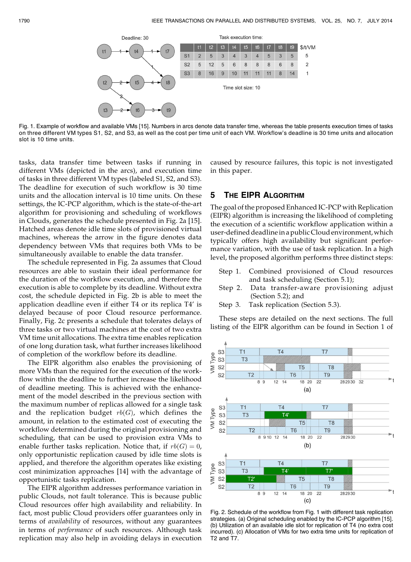

Fig. 1. Example of workflow and available VMs [15]. Numbers in arcs denote data transfer time, whereas the table presents execution times of tasks on three different VM types S1, S2, and S3, as well as the cost per time unit of each VM. Workflow's deadline is 30 time units and allocation slot is 10 time units.

tasks, data transfer time between tasks if running in different VMs (depicted in the arcs), and execution time of tasks in three different VM types (labeled S1, S2, and S3). The deadline for execution of such workflow is 30 time units and the allocation interval is 10 time units. On these settings, the IC-PCP algorithm, which is the state-of-the-art algorithm for provisioning and scheduling of workflows in Clouds, generates the schedule presented in Fig. 2a [15]. Hatched areas denote idle time slots of provisioned virtual machines, whereas the arrow in the figure denotes data dependency between VMs that requires both VMs to be simultaneously available to enable the data transfer.

The schedule represented in Fig. 2a assumes that Cloud resources are able to sustain their ideal performance for the duration of the workflow execution, and therefore the execution is able to complete by its deadline. Without extra cost, the schedule depicted in Fig. 2b is able to meet the application deadline even if either T4 or its replica T4' is delayed because of poor Cloud resource performance. Finally, Fig. 2c presents a schedule that tolerates delays of three tasks or two virtual machines at the cost of two extra VM time unit allocations. The extra time enables replication of one long duration task, what further increases likelihood of completion of the workflow before its deadline.

The EIPR algorithm also enables the provisioning of more VMs than the required for the execution of the workflow within the deadline to further increase the likelihood of deadline meeting. This is achieved with the enhancement of the model described in the previous section with the maximum number of replicas allowed for a single task and the replication budget  $rb(G)$ , which defines the amount, in relation to the estimated cost of executing the workflow determined during the original provisioning and scheduling, that can be used to provision extra VMs to enable further tasks replication. Notice that, if  $rb(G) = 0$ , only opportunistic replication caused by idle time slots is applied, and therefore the algorithm operates like existing cost minimization approaches [14] with the advantage of opportunistic tasks replication.

The EIPR algorithm addresses performance variation in public Clouds, not fault tolerance. This is because public Cloud resources offer high availability and reliability. In fact, most public Cloud providers offer guarantees only in terms of availability of resources, without any guarantees in terms of performance of such resources. Although task replication may also help in avoiding delays in execution

caused by resource failures, this topic is not investigated in this paper.

## 5 THE EIPR ALGORITHM

The goal of the proposed Enhanced IC-PCP with Replication (EIPR) algorithm is increasing the likelihood of completing the execution of a scientific workflow application within a user-defined deadline in a public Cloud environment, which typically offers high availability but significant performance variation, with the use of task replication. In a high level, the proposed algorithm performs three distinct steps:

- Step 1. Combined provisioned of Cloud resources and task scheduling (Section 5.1);
- Step 2. Data transfer-aware provisioning adjust (Section 5.2); and
- Step 3. Task replication (Section 5.3).

These steps are detailed on the next sections. The full listing of the EIPR algorithm can be found in Section 1 of



Fig. 2. Schedule of the workflow from Fig. 1 with different task replication strategies. (a) Original scheduling enabled by the IC-PCP algorithm [15]. (b) Utilization of an available idle slot for replication of T4 (no extra cost incurred). (c) Allocation of VMs for two extra time units for replication of T2 and T7.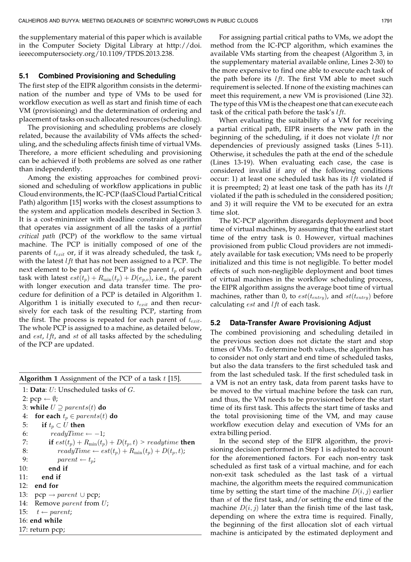the supplementary material of this paper which is available in the Computer Society Digital Library at http://doi. ieeecomputersociety.org/10.1109/TPDS.2013.238.

#### 5.1 Combined Provisioning and Scheduling

The first step of the EIPR algorithm consists in the determination of the number and type of VMs to be used for workflow execution as well as start and finish time of each VM (provisioning) and the determination of ordering and placement of tasks on such allocated resources (scheduling).

The provisioning and scheduling problems are closely related, because the availability of VMs affects the scheduling, and the scheduling affects finish time of virtual VMs. Therefore, a more efficient scheduling and provisioning can be achieved if both problems are solved as one rather than independently.

Among the existing approaches for combined provisioned and scheduling of workflow applications in public Cloud environments, the IC-PCP (IaaS Cloud Partial Critical Path) algorithm [15] works with the closest assumptions to the system and application models described in Section 3. It is a cost-minimizer with deadline constraint algorithm that operates via assignment of all the tasks of a partial critical path (PCP) of the workflow to the same virtual machine. The PCP is initially composed of one of the parents of  $t_{exit}$  or, if it was already scheduled, the task  $t_o$ with the latest  $lft$  that has not been assigned to a PCP. The next element to be part of the PCP is the parent  $t_p$  of such task with latest  $est(t_p) + R_{min}(t_p) + D(e_{p,0})$ , i.e., the parent with longer execution and data transfer time. The procedure for definition of a PCP is detailed in Algorithm 1. Algorithm 1 is initially executed to  $t_{exit}$  and then recursively for each task of the resulting PCP, starting from the first. The process is repeated for each parent of  $t_{exit}$ . The whole PCP is assigned to a machine, as detailed below, and est, lft, and st of all tasks affected by the scheduling of the PCP are updated.

|  |  |  | Algorithm 1 Assignment of the PCP of a task $t$ [15]. |  |  |  |  |  |  |  |
|--|--|--|-------------------------------------------------------|--|--|--|--|--|--|--|
|--|--|--|-------------------------------------------------------|--|--|--|--|--|--|--|

1: Data: U: Unscheduled tasks of G. 2:  $pcp \leftarrow \emptyset$ ; 3: while  $U \supseteq parents(t)$  do 4: for each  $t_p \in parents(t)$  do 5: if  $t_p \subset U$  then 6:  $readyTime \leftarrow -1;$ 7: if  $est(t_p) + R_{min}(t_p) + D(t_p, t) > readytime$  then 8:  $readyTime \leftarrow est(t_p) + R_{min}(t_p) + D(t_p, t);$ 9:  $parent \leftarrow t_p;$ 10: end if 11: end if 12: end for 13:  $pcp \rightarrow parent \cup pcp;$ 14: Remove *parent* from *U*; 15:  $t \leftarrow parent;$ 16: end while 17: return pcp;

For assigning partial critical paths to VMs, we adopt the method from the IC-PCP algorithm, which examines the available VMs starting from the cheapest (Algorithm 3, in the supplementary material available online, Lines 2-30) to the more expensive to find one able to execute each task of the path before its  $lft$ . The first VM able to meet such requirement is selected. If none of the existing machines can meet this requirement, a new VM is provisioned (Line 32). The type of this VM is the cheapest one that can execute each task of the critical path before the task's  $lft$ .

When evaluating the suitability of a VM for receiving a partial critical path, EIPR inserts the new path in the beginning of the scheduling, if it does not violate  $lft$  nor dependencies of previously assigned tasks (Lines 5-11). Otherwise, it schedules the path at the end of the schedule (Lines 13-19). When evaluating each case, the case is considered invalid if any of the following conditions occur: 1) at least one scheduled task has its  $lft$  violated if it is preempted; 2) at least one task of the path has its  $lft$ violated if the path is scheduled in the considered position; and 3) it will require the VM to be executed for an extra time slot.

The IC-PCP algorithm disregards deployment and boot time of virtual machines, by assuming that the earliest start time of the entry task is 0. However, virtual machines provisioned from public Cloud providers are not immediately available for task execution; VMs need to be properly initialized and this time is not negligible. To better model effects of such non-negligible deployment and boot times of virtual machines in the workflow scheduling process, the EIPR algorithm assigns the average boot time of virtual machines, rather than 0, to  $est(t_{entry})$ , and  $st(t_{entry})$  before calculating  $est$  and  $lft$  of each task.

#### 5.2 Data-Transfer Aware Provisioning Adjust

The combined provisioning and scheduling detailed in the previous section does not dictate the start and stop times of VMs. To determine both values, the algorithm has to consider not only start and end time of scheduled tasks, but also the data transfers to the first scheduled task and from the last scheduled task. If the first scheduled task in a VM is not an entry task, data from parent tasks have to be moved to the virtual machine before the task can run, and thus, the VM needs to be provisioned before the start time of its first task. This affects the start time of tasks and the total provisioning time of the VM, and may cause workflow execution delay and execution of VMs for an extra billing period.

In the second step of the EIPR algorithm, the provisioning decision performed in Step 1 is adjusted to account for the aforementioned factors. For each non-entry task scheduled as first task of a virtual machine, and for each non-exit task scheduled as the last task of a virtual machine, the algorithm meets the required communication time by setting the start time of the machine  $D(i, j)$  earlier than  $st$  of the first task, and/or setting the end time of the machine  $D(i, j)$  later than the finish time of the last task, depending on where the extra time is required. Finally, the beginning of the first allocation slot of each virtual machine is anticipated by the estimated deployment and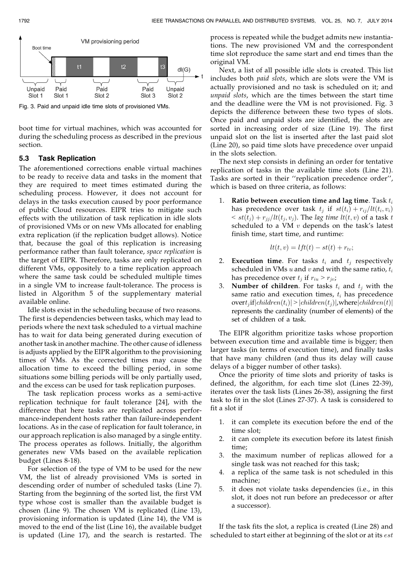

Fig. 3. Paid and unpaid idle time slots of provisioned VMs.

boot time for virtual machines, which was accounted for during the scheduling process as described in the previous section.

#### 5.3 Task Replication

The aforementioned corrections enable virtual machines to be ready to receive data and tasks in the moment that they are required to meet times estimated during the scheduling process. However, it does not account for delays in the tasks execution caused by poor performance of public Cloud resources. EIPR tries to mitigate such effects with the utilization of task replication in idle slots of provisioned VMs or on new VMs allocated for enabling extra replication (if the replication budget allows). Notice that, because the goal of this replication is increasing performance rather than fault tolerance, space replication is the target of EIPR. Therefore, tasks are only replicated on different VMs, oppositely to a time replication approach where the same task could be scheduled multiple times in a single VM to increase fault-tolerance. The process is listed in Algorithm 5 of the supplementary material available online.

Idle slots exist in the scheduling because of two reasons. The first is dependencies between tasks, which may lead to periods where the next task scheduled to a virtual machine has to wait for data being generated during execution of another task in another machine. The other cause of idleness is adjusts applied by the EIPR algorithm to the provisioning times of VMs. As the corrected times may cause the allocation time to exceed the billing period, in some situations some billing periods will be only partially used, and the excess can be used for task replication purposes.

The task replication process works as a semi-active replication technique for fault tolerance [24], with the difference that here tasks are replicated across performance-independent hosts rather than failure-independent locations. As in the case of replication for fault tolerance, in our approach replication is also managed by a single entity. The process operates as follows. Initially, the algorithm generates new VMs based on the available replication budget (Lines 8-18).

For selection of the type of VM to be used for the new VM, the list of already provisioned VMs is sorted in descending order of number of scheduled tasks (Line 7). Starting from the beginning of the sorted list, the first VM type whose cost is smaller than the available budget is chosen (Line 9). The chosen VM is replicated (Line 13), provisioning information is updated (Line 14), the VM is moved to the end of the list (Line 16), the available budget is updated (Line 17), and the search is restarted. The process is repeated while the budget admits new instantiations. The new provisioned VM and the correspondent time slot reproduce the same start and end times than the original VM.

Next, a list of all possible idle slots is created. This list includes both paid slots, which are slots were the VM is actually provisioned and no task is scheduled on it; and unpaid slots, which are the times between the start time and the deadline were the VM is not provisioned. Fig. 3 depicts the difference between these two types of slots. Once paid and unpaid slots are identified, the slots are sorted in increasing order of size (Line 19). The first unpaid slot on the list is inserted after the last paid slot (Line 20), so paid time slots have precedence over unpaid in the slots selection.

The next step consists in defining an order for tentative replication of tasks in the available time slots (Line 21). Tasks are sorted in their ''replication precedence order'', which is based on three criteria, as follows:

1. Ratio between execution time and lag time. Task  $t_i$ has precedence over task  $t_i$  if  $st(t_i) + r_{ii}/lt(t_i, v_i)$  $S \leq st(t_i) + r_{ii}/lt(t_i, v_i)$ . The lag time lt $(t, v)$  of a task t scheduled to a  $\overline{VM}$  v depends on the task's latest finish time, start time, and runtime:

$$
lt(t, v) = lft(t) - st(t) + r_{tv};
$$

- 2. Execution time. For tasks  $t_i$  and  $t_j$  respectively scheduled in VMs  $u$  and  $v$  and with the same ratio,  $t_i$ has precedence over  $t_i$  if  $r_{iu} > r_{iv};$
- 3. Number of children. For tasks  $t_i$  and  $t_j$  with the same ratio and execution times,  $t_i$  has precedence  $over_{i}$  if  $|children(t_{i})| > |children(t_{i})|$ , where  $|children(t)|$ represents the cardinality (number of elements) of the set of children of a task.

The EIPR algorithm prioritize tasks whose proportion between execution time and available time is bigger; then larger tasks (in terms of execution time), and finally tasks that have many children (and thus its delay will cause delays of a bigger number of other tasks).

Once the priority of time slots and priority of tasks is defined, the algorithm, for each time slot (Lines 22-39), iterates over the task lists (Lines 26-38), assigning the first task to fit in the slot (Lines 27-37). A task is considered to fit a slot if

- 1. it can complete its execution before the end of the time slot;
- 2. it can complete its execution before its latest finish time;
- 3. the maximum number of replicas allowed for a single task was not reached for this task;
- 4. a replica of the same task is not scheduled in this machine;
- 5. it does not violate tasks dependencies (i.e., in this slot, it does not run before an predecessor or after a successor).

If the task fits the slot, a replica is created (Line 28) and scheduled to start either at beginning of the slot or at its est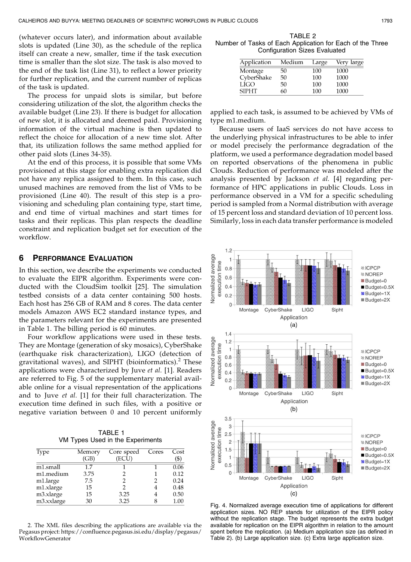(whatever occurs later), and information about available slots is updated (Line 30), as the schedule of the replica itself can create a new, smaller, time if the task execution time is smaller than the slot size. The task is also moved to the end of the task list (Line 31), to reflect a lower priority for further replication, and the current number of replicas of the task is updated.

The process for unpaid slots is similar, but before considering utilization of the slot, the algorithm checks the available budget (Line 23). If there is budget for allocation of new slot, it is allocated and deemed paid. Provisioning information of the virtual machine is then updated to reflect the choice for allocation of a new time slot. After that, its utilization follows the same method applied for other paid slots (Lines 34-35).

At the end of this process, it is possible that some VMs provisioned at this stage for enabling extra replication did not have any replica assigned to them. In this case, such unused machines are removed from the list of VMs to be provisioned (Line 40). The result of this step is a provisioning and scheduling plan containing type, start time, and end time of virtual machines and start times for tasks and their replicas. This plan respects the deadline constraint and replication budget set for execution of the workflow.

#### 6 PERFORMANCE EVALUATION

In this section, we describe the experiments we conducted to evaluate the EIPR algorithm. Experiments were conducted with the CloudSim toolkit [25]. The simulation testbed consists of a data center containing 500 hosts. Each host has 256 GB of RAM and 8 cores. The data center models Amazon AWS EC2 standard instance types, and the parameters relevant for the experiments are presented in Table 1. The billing period is 60 minutes.

Four workflow applications were used in these tests. They are Montage (generation of sky mosaics), CyberShake (earthquake risk characterization), LIGO (detection of gravitational waves), and SIPHT (bioinformatics). $<sup>2</sup>$  These</sup> applications were characterized by Juve et al. [1]. Readers are referred to Fig. 5 of the supplementary material available online for a visual representation of the applications and to Juve et al. [1] for their full characterization. The execution time defined in such files, with a positive or negative variation between 0 and 10 percent uniformly

TABLE 1 VM Types Used in the Experiments

| Type       | Memory<br>(GB) | Core speed<br>(ECU) | Cores | Cost<br>(\$) |
|------------|----------------|---------------------|-------|--------------|
| m1.small   | 1.7            |                     |       | 0.06         |
| m1.medium  | 3.75           | 2                   |       | 0.12         |
| m1.large   | 7.5            | 2                   | 2     | 0.24         |
| m1.xlarge  | 15             | 2                   |       | 0.48         |
| m3.xlarge  | 15             | 3.25                |       | 0.50         |
| m3.xxlarge | 30             | 3.25                | 8     | 1.00         |

2. The XML files describing the applications are available via the Pegasus project: https://confluence.pegasus.isi.edu/display/pegasus/ WorkflowGenerator

TABLE 2 Number of Tasks of Each Application for Each of the Three Configuration Sizes Evaluated

| Application  | Medium | Large | Very large |
|--------------|--------|-------|------------|
| Montage      | 50     | 100   | 1000       |
| CyberShake   | 50     | 100   | 1000       |
| LIGO         | 50     | 100   | 1000       |
| <b>SIPHT</b> | 60     | 100   | 1000       |

applied to each task, is assumed to be achieved by VMs of type m1.medium.

Because users of IaaS services do not have access to the underlying physical infrastructures to be able to infer or model precisely the performance degradation of the platform, we used a performance degradation model based on reported observations of the phenomena in public Clouds. Reduction of performance was modeled after the analysis presented by Jackson et al. [4] regarding performance of HPC applications in public Clouds. Loss in performance observed in a VM for a specific scheduling period is sampled from a Normal distribution with average of 15 percent loss and standard deviation of 10 percent loss. Similarly, loss in each data transfer performance is modeled



Fig. 4. Normalized average execution time of applications for different application sizes. NO REP stands for utilization of the EIPR policy without the replication stage. The budget represents the extra budget available for replication on the EIPR algorithm in relation to the amount spent before the replication. (a) Medium application size (as defined in Table 2). (b) Large application size. (c) Extra large application size.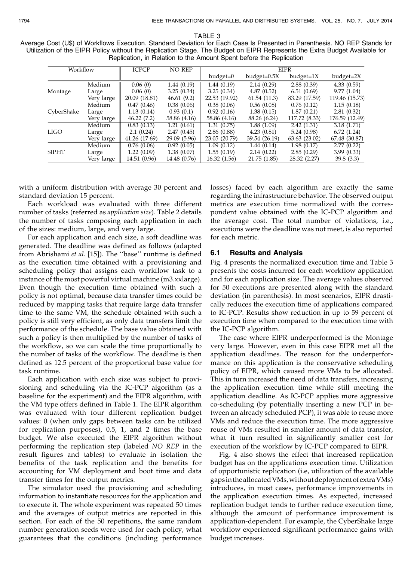|                                                                                                                            | Average Cost (U\$) of Workflows Execution. Standard Deviation for Each Case Is Presented in Parenthesis. NO REP Stands for |              |        |                |                         |             |             |  |  |  |
|----------------------------------------------------------------------------------------------------------------------------|----------------------------------------------------------------------------------------------------------------------------|--------------|--------|----------------|-------------------------|-------------|-------------|--|--|--|
| Utilization of the EIPR Policy without the Replication Stage. The Budget on EIPR Represents the Extra Budget Available for |                                                                                                                            |              |        |                |                         |             |             |  |  |  |
| Replication, in Relation to the Amount Spent before the Replication                                                        |                                                                                                                            |              |        |                |                         |             |             |  |  |  |
|                                                                                                                            |                                                                                                                            |              |        |                |                         |             |             |  |  |  |
|                                                                                                                            | Workflow                                                                                                                   | <b>ICPCP</b> | NO REP |                |                         | <b>EIPR</b> |             |  |  |  |
|                                                                                                                            |                                                                                                                            |              |        | $b$ udget= $0$ | $budget=0.5X$ budget=1X |             | $budget=2X$ |  |  |  |

TABLE 3

| Workflow     |            | ICFCF         | NU KEP       | EIFK          |               |               |                |  |
|--------------|------------|---------------|--------------|---------------|---------------|---------------|----------------|--|
|              |            |               |              | $budget=0$    | $budget=0.5X$ | $budget=1X$   | $budget=2X$    |  |
|              | Medium     | 0.06(0)       | 1.44(0.19)   | 1.44(0.19)    | 2.14(0.29)    | 2.88(0.39)    | 4.33(0.59)     |  |
| Montage      | Large      | 0.06(0)       | 3.25(0.34)   | 3.25(0.34)    | 4.87(0.52)    | 6.51(0.69)    | 9.77(1.04)     |  |
|              | Very large | 20.09 (18.81) | 46.61 (9.2)  | 22.53 (19.92) | 61.54 (11.3)  | 83.29 (17.59) | 119.46 (15.73) |  |
|              | Medium     | 0.47(0.46)    | 0.38(0.06)   | 0.38(0.06)    | 0.56(0.08)    | 0.76(0.12)    | 1.15(0.18)     |  |
| CyberShake   | Large      | 1.13(0.14)    | 0.93(0.1)    | 0.92(0.16)    | 1.38(0.15)    | 1.87(0.21)    | 2.81(0.32)     |  |
|              | Very large | 46.22 (7.2)   | 58.86 (4.16) | 58.86 (4.16)  | 88.26 (6.24)  | 117.72 (8.33) | 176.59 (12.49) |  |
|              | Medium     | 0.83(0.13)    | 1.21(0.61)   | 1.31(0.75)    | 1.88(1.09)    | 2.42(1.31)    | 3.18(1.71)     |  |
| <b>LIGO</b>  | Large      | 2.1(0.24)     | 2.47(0.45)   | 2.86(0.88)    | 4.23(0.81)    | 5.24(0.98)    | 6.72(1.24)     |  |
|              | Very large | 41.26 (17.69) | 29.09 (5.96) | 23.05 (20.79) | 39.54 (26.19) | 63.63 (23.02) | 67.48 (30.87)  |  |
|              | Medium     | 0.76(0.06)    | 0.92(0.05)   | 1.09(0.12)    | 1.44(0.14)    | 1.98(0.17)    | 2.77(0.22)     |  |
| <b>SIPHT</b> | Large      | 1.22(0.09)    | 1.38(0.07)   | 1.55(0.19)    | 2.14(0.22)    | 2.85(0.29)    | 3.99(0.33)     |  |
|              | Very large | 14.51 (0.96)  | 14.48 (0.76) | 16.32 (1.56)  | 21.75 (1.85)  | 28.32 (2.27)  | 39.8(3.3)      |  |

with a uniform distribution with average 30 percent and standard deviation 15 percent.

Each workload was evaluated with three different number of tasks (referred as application size). Table 2 details the number of tasks composing each application in each of the sizes: medium, large, and very large.

For each application and each size, a soft deadline was generated. The deadline was defined as follows (adapted from Abrishami et al. [15]). The ''base'' runtime is defined as the execution time obtained with a provisioning and scheduling policy that assigns each workflow task to a instance of the most powerful virtual machine (m3.xxlarge). Even though the execution time obtained with such a policy is not optimal, because data transfer times could be reduced by mapping tasks that require large data transfer time to the same VM, the schedule obtained with such a policy is still very efficient, as only data transfers limit the performance of the schedule. The base value obtained with such a policy is then multiplied by the number of tasks of the workflow, so we can scale the time proportionally to the number of tasks of the workflow. The deadline is then defined as 12.5 percent of the proportional base value for task runtime.

Each application with each size was subject to provisioning and scheduling via the IC-PCP algorithm (as a baseline for the experiment) and the EIPR algorithm, with the VM type offers defined in Table 1. The EIPR algorithm was evaluated with four different replication budget values: 0 (when only gaps between tasks can be utilized for replication purposes), 0.5, 1, and 2 times the base budget. We also executed the EIPR algorithm without performing the replication step (labeled NO REP in the result figures and tables) to evaluate in isolation the benefits of the task replication and the benefits for accounting for VM deployment and boot time and data transfer times for the output metrics.

The simulator used the provisioning and scheduling information to instantiate resources for the application and to execute it. The whole experiment was repeated 50 times and the averages of output metrics are reported in this section. For each of the 50 repetitions, the same random number generation seeds were used for each policy, what guarantees that the conditions (including performance losses) faced by each algorithm are exactly the same regarding the infrastructure behavior. The observed output metrics are execution time normalized with the correspondent value obtained with the IC-PCP algorithm and the average cost. The total number of violations, i.e., executions were the deadline was not meet, is also reported for each metric.

#### 6.1 Results and Analysis

Fig. 4 presents the normalized execution time and Table 3 presents the costs incurred for each workflow application and for each application size. The average values observed for 50 executions are presented along with the standard deviation (in parenthesis). In most scenarios, EIPR drastically reduces the execution time of applications compared to IC-PCP. Results show reduction in up to 59 percent of execution time when compared to the execution time with the IC-PCP algorithm.

The case where EIPR underperformed is the Montage very large. However, even in this case EIPR met all the application deadlines. The reason for the underperformance on this application is the conservative scheduling policy of EIPR, which caused more VMs to be allocated. This in turn increased the need of data transfers, increasing the application execution time while still meeting the application deadline. As IC-PCP applies more aggressive co-scheduling (by potentially inserting a new PCP in between an already scheduled PCP), it was able to reuse more VMs and reduce the execution time. The more aggressive reuse of VMs resulted in smaller amount of data transfer, what it turn resulted in significantly smaller cost for execution of the workflow by IC-PCP compared to EIPR.

Fig. 4 also shows the effect that increased replication budget has on the applications execution time. Utilization of opportunistic replication (i.e, utilization of the available gapsintheallocatedVMs,withoutdeploymentofextraVMs) introduces, in most cases, performance improvements in the application execution times. As expected, increased replication budget tends to further reduce execution time, although the amount of performance improvement is application-dependent. For example, the CyberShake large workflow experienced significant performance gains with budget increases.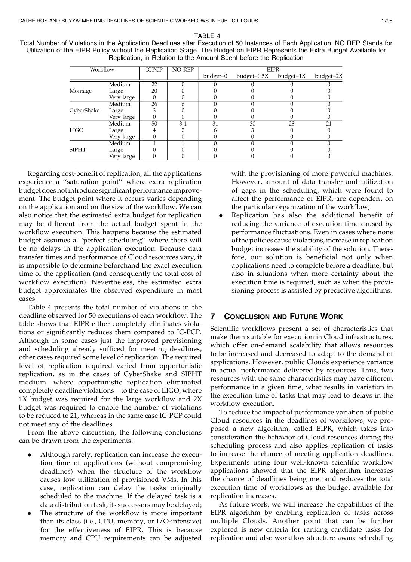TABLE 4 Total Number of Violations in the Application Deadlines after Execution of 50 Instances of Each Application. NO REP Stands for Utilization of the EIPR Policy without the Replication Stage. The Budget on EIPR Represents the Extra Budget Available for Replication, in Relation to the Amount Spent before the Replication

| Workflow     |            | ICPCP | NO REP   | <b>EIPR</b> |           |           |    |  |  |
|--------------|------------|-------|----------|-------------|-----------|-----------|----|--|--|
|              | $budget=0$ |       |          | budget=0.5X | budget=1X | budget=2X |    |  |  |
|              | Medium     | 22    | $\Omega$ |             |           |           |    |  |  |
| Montage      | Large      | 20    |          |             |           |           |    |  |  |
|              | Very large |       |          |             |           |           |    |  |  |
|              | Medium     | 26    | h        |             |           |           |    |  |  |
| CyberShake   | Large      |       |          |             |           |           |    |  |  |
|              | Very large |       |          |             |           |           |    |  |  |
|              | Medium     | 50    | 31       | 31          | 30        | 28        | 21 |  |  |
| <b>LIGO</b>  | Large      |       |          |             |           |           |    |  |  |
|              | Very large |       |          |             |           |           |    |  |  |
|              | Medium     |       |          |             |           |           |    |  |  |
| <b>SIPHT</b> | Large      |       |          |             |           |           |    |  |  |
|              | Very large |       |          |             |           |           |    |  |  |

Regarding cost-benefit of replication, all the applications experience a ''saturation point'' where extra replication budgetdoesnotintroducesignificantperformanceimprovement. The budget point where it occurs varies depending on the application and on the size of the workflow. We can also notice that the estimated extra budget for replication may be different from the actual budget spent in the workflow execution. This happens because the estimated budget assumes a ''perfect scheduling'' where there will be no delays in the application execution. Because data transfer times and performance of Cloud resources vary, it is impossible to determine beforehand the exact execution time of the application (and consequently the total cost of workflow execution). Nevertheless, the estimated extra budget approximates the observed expenditure in most cases.

Table 4 presents the total number of violations in the deadline observed for 50 executions of each workflow. The table shows that EIPR either completely eliminates violations or significantly reduces them compared to IC-PCP. Although in some cases just the improved provisioning and scheduling already sufficed for meeting deadlines, other cases required some level of replication. The required level of replication required varied from opportunistic replication, as in the cases of CyberShake and SIPHT medium-where opportunistic replication eliminated completely deadline violations—to the case of LIGO, where 1X budget was required for the large workflow and 2X budget was required to enable the number of violations to be reduced to 21, whereas in the same case IC-PCP could not meet any of the deadlines.

From the above discussion, the following conclusions can be drawn from the experiments:

- . Although rarely, replication can increase the execution time of applications (without compromising deadlines) when the structure of the workflow causes low utilization of provisioned VMs. In this case, replication can delay the tasks originally scheduled to the machine. If the delayed task is a data distribution task, its successors may be delayed;
- . The structure of the workflow is more important than its class (i.e., CPU, memory, or I/O-intensive) for the effectiveness of EIPR. This is because memory and CPU requirements can be adjusted

with the provisioning of more powerful machines. However, amount of data transfer and utilization of gaps in the scheduling, which were found to affect the performance of EIPR, are dependent on the particular organization of the workflow;

. Replication has also the additional benefit of reducing the variance of execution time caused by performance fluctuations. Even in cases where none of the policies cause violations, increase in replication budget increases the stability of the solution. Therefore, our solution is beneficial not only when applications need to complete before a deadline, but also in situations when more certainty about the execution time is required, such as when the provisioning process is assisted by predictive algorithms.

## 7 CONCLUSION AND FUTURE WORK

Scientific workflows present a set of characteristics that make them suitable for execution in Cloud infrastructures, which offer on-demand scalability that allows resources to be increased and decreased to adapt to the demand of applications. However, public Clouds experience variance in actual performance delivered by resources. Thus, two resources with the same characteristics may have different performance in a given time, what results in variation in the execution time of tasks that may lead to delays in the workflow execution.

To reduce the impact of performance variation of public Cloud resources in the deadlines of workflows, we proposed a new algorithm, called EIPR, which takes into consideration the behavior of Cloud resources during the scheduling process and also applies replication of tasks to increase the chance of meeting application deadlines. Experiments using four well-known scientific workflow applications showed that the EIPR algorithm increases the chance of deadlines being met and reduces the total execution time of workflows as the budget available for replication increases.

As future work, we will increase the capabilities of the EIPR algorithm by enabling replication of tasks across multiple Clouds. Another point that can be further explored is new criteria for ranking candidate tasks for replication and also workflow structure-aware scheduling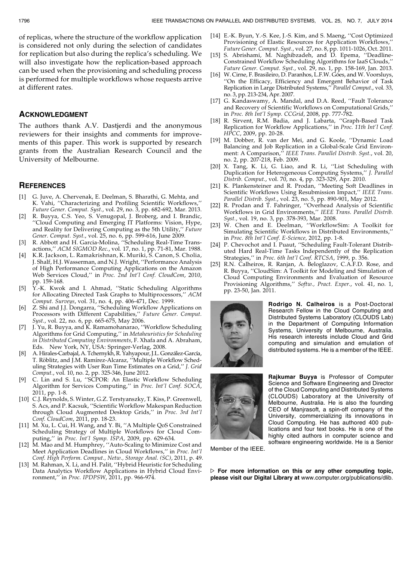## **ACKNOWLEDGMENT**

The authors thank A.V. Dastjerdi and the anonymous reviewers for their insights and comments for improvements of this paper. This work is supported by research grants from the Australian Research Council and the University of Melbourne.

### **REFERENCES**

- [1] G. Juve, A. Chervenak, E. Deelman, S. Bharathi, G. Mehta, and K. Vahi, ''Characterizing and Profiling Scientific Workflows,'' Future Gener. Comput. Syst., vol. 29, no. 3, pp. 682-692, Mar. 2013.
- [2] R. Buyya, C.S. Yeo, S. Venugopal, J. Broberg, and I. Brandic, ''Cloud Computing and Emerging IT Platforms: Vision, Hype, and Reality for Delivering Computing as the 5th Utility,'' Future Gener. Comput. Syst., vol. 25, no. 6, pp. 599-616, June 2009.
- [3] R. Abbott and H. Garcia-Molina, ''Scheduling Real-Time Transactions,'' ACM SIGMOD Rec., vol. 17, no. 1, pp. 71-81, Mar. 1988.
- [4] K.R. Jackson, L. Ramakrishnan, K. Muriki, S. Canon, S. Cholia, J. Shalf, H.J. Wasserman, and N.J. Wright, ''Performance Analysis of High Performance Computing Applications on the Amazon Web Services Cloud," in Proc. 2nd Int'l Conf. CloudCom, 2010, pp. 159-168.
- [5] Y.-K. Kwok and I. Ahmad, ''Static Scheduling Algorithms for Allocating Directed Task Graphs to Multiprocessors,'' ACM Comput. Surveys, vol. 31, no. 4, pp. 406-471, Dec. 1999.
- [6] Z. Shi and J.J. Dongarra, ''Scheduling Workflow Applications on Processors with Different Capabilities,'' Future Gener. Comput. Syst., vol. 22, no. 6, pp. 665-675, May 2006.
- [7] J. Yu, R. Buyya, and K. Ramamohanarao, ''Workflow Scheduling Algorithms for Grid Computing,'' in Metaheuristics for Scheduling in Distributed Computing Environments, F. Xhafa and A. Abraham, Eds. New York, NY, USA: Springer-Verlag, 2008.
- [8] A. Hirales-Carbajal, A. Tchernykh, R. Yahyapour, J.L. González-García, T. Röblitz, and J.M. Ramírez-Alcaraz, "Multiple Workflow Scheduling Strategies with User Run Time Estimates on a Grid,'' J. Grid Comput., vol. 10, no. 2, pp. 325-346, June 2012.
- [9] C. Lin and S. Lu, ''SCPOR: An Elastic Workflow Scheduling Algorithm for Services Computing," in Proc. Int'l Conf. SOCA, 2011, pp. 1-8.
- [10] C.J. Reynolds, S. Winter, G.Z. Terstyanszky, T. Kiss, P. Greenwell, S. Acs, and P. Kacsuk, ''Scientific Workflow Makespan Reduction through Cloud Augmented Desktop Grids,'' in Proc. 3rd Int'l Conf. CloudCom, 2011, pp. 18-23.
- [11] M. Xu, L. Cui, H. Wang, and Y. Bi, ''A Multiple QoS Constrained Scheduling Strategy of Multiple Workflows for Cloud Computing,'' in Proc. Int'l Symp. ISPA, 2009, pp. 629-634.
- [12] M. Mao and M. Humphrey, ''Auto-Scaling to Minimize Cost and Meet Application Deadlines in Cloud Workflows,'' in Proc. Int'l Conf. High Perform. Comput., Netw., Storage Anal. (SC), 2011, p. 49.
- [13] M. Rahman, X. Li, and H. Palit, ''Hybrid Heuristic for Scheduling Data Analytics Workflow Applications in Hybrid Cloud Environment,'' in Proc. IPDPSW, 2011, pp. 966-974.
- [14] E.-K. Byun, Y.-S. Kee, J.-S. Kim, and S. Maeng, ''Cost Optimized Provisioning of Elastic Resources for Application Workflows,'' Future Gener. Comput. Syst., vol. 27, no. 8, pp. 1011-1026, Oct. 2011.
- [15] S. Abrishami, M. Naghibzadeh, and D. Epema, ''Deadline-Constrained Workflow Scheduling Algorithms for IaaS Clouds,'' Future Gener. Comput. Syst., vol. 29, no. 1, pp. 158-169, Jan. 2013.
- [16] W. Cirne, F. Brasileiro, D. Paranhos, L.F.W. Góes, and W. Voorsluys, ''On the Efficacy, Efficiency and Emergent Behavior of Task Replication in Large Distributed Systems,'' Parallel Comput., vol. 33, no. 3, pp. 213-234, Apr. 2007.
- [17] G. Kandaswamy, A. Mandal, and D.A. Reed, "Fault Tolerance and Recovery of Scientific Workflows on Computational Grids,'' in Proc. 8th Int'l Symp. CCGrid, 2008, pp. 777-782.
- [18] R. Sirvent, R.M. Badia, and J. Labarta, ''Graph-Based Task Replication for Workflow Applications,'' in Proc. 11th Int'l Conf. HPCC, 2009, pp. 20-28.
- [19] M. Dobber, R. van der Mei, and G. Koole, ''Dynamic Load Balancing and Job Replication in a Global-Scale Grid Environment: A Comparison,'' IEEE Trans. Parallel Distrib. Syst., vol. 20, no. 2, pp. 207-218, Feb. 2009.
- [20] X. Tang, K. Li, G. Liao, and R. Li, "List Scheduling with Duplication for Heterogeneous Computing Systems,'' J. Parallel Distrib. Comput., vol. 70, no. 4, pp. 323-329, Apr. 2010.
- [21] K. Plankensteiner and R. Prodan, "Meeting Soft Deadlines in Scientific Workflows Using Resubmission Impact,'' IEEE Trans. Parallel Distrib. Syst., vol. 23, no. 5, pp. 890-901, May 2012.
- [22] R. Prodan and T. Fahringer, ''Overhead Analysis of Scientific Workflows in Grid Environments,'' IEEE Trans. Parallel Distrib. Syst., vol. 19, no. 3, pp. 378-393, Mar. 2008.
- [23] W. Chen and E. Deelman, ''WorkflowSim: A Toolkit for Simulating Scientific Workflows in Distributed Environments,'' in Proc. 8th Int'l Conf. E-Science, 2012, pp. 1-8.
- [24] P. Chevochot and I. Puaut, ''Scheduling Fault-Tolerant Distributed Hard Real-Time Tasks Independently of the Replication Strategies,'' in Proc. 6th Int'l Conf. RTCSA, 1999, p. 356.
- [25] R.N. Calheiros, R. Ranjan, A. Beloglazov, C.A.F.D. Rose, and R. Buyya, ''CloudSim: A Toolkit for Modeling and Simulation of Cloud Computing Environments and Evaluation of Resource Provisioning Algorithms,'' Softw., Pract. Exper., vol. 41, no. 1, pp. 23-50, Jan. 2011.



Rodrigo N. Calheiros is a Post-Doctoral Research Fellow in the Cloud Computing and Distributed Systems Laboratory (CLOUDS Lab) in the Department of Computing Information Systems, University of Melbourne, Australia. His research interests include Cloud and Grid computing and simulation and emulation of distributed systems. He is a member of the IEEE.



Rajkumar Buyya is Professor of Computer Science and Software Engineering and Director of the Cloud Computing and Distributed Systems (CLOUDS) Laboratory at the University of Melbourne, Australia. He is also the founding CEO of Manjrasoft, a spin-off company of the University, commercializing its innovations in Cloud Computing. He has authored 400 publications and four text books. He is one of the highly cited authors in computer science and software engineering worldwide. He is a Senior

Member of the IEEE.

 $\triangleright$  For more information on this or any other computing topic, please visit our Digital Library at www.computer.org/publications/dlib.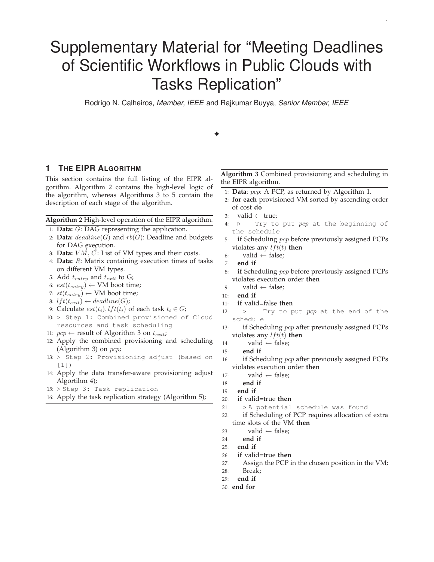# Supplementary Material for "Meeting Deadlines of Scientific Workflows in Public Clouds with Tasks Replication"

Rodrigo N. Calheiros, *Member, IEEE* and Rajkumar Buyya, *Senior Member, IEEE*

✦

## **1 THE EIPR ALGORITHM**

This section contains the full listing of the EIPR algorithm. Algorithm 2 contains the high-level logic of the algorithm, whereas Algorithms 3 to 5 contain the description of each stage of the algorithm.

**Algorithm 2** High-level operation of the EIPR algorithm.

- 1: **Data:** *G*: DAG representing the application.
- 2: **Data:**  $deadline(G)$  and  $rb(G)$ : Deadline and budgets for DAG execution.
- 3: **Data:**  $\overrightarrow{VM}, \overrightarrow{C}$ : List of VM types and their costs.
- 4: **Data:** *R*: Matrix containing execution times of tasks on different VM types.
- 5: Add *t*entry and *t*exit to G;
- 6:  $est(t_{entry}) \leftarrow \text{VM boot time};$
- 7:  $st(t_{entry}) \leftarrow$  VM boot time;
- 8:  $lft(t_{exit}) \leftarrow deadline(G);$
- 9: Calculate  $est(t_i)$ ,  $lft(t_i)$  of each task  $t_i \in G$ ;
- 10: **D** Step 1: Combined provisioned of Cloud resources and task scheduling
- 11:  $pcp \leftarrow$  result of Algorithm 3 on  $t_{exit}$ ;
- 12: Apply the combined provisioning and scheduling (Algorithm 3) on *pcp*;
- 13: *-* Step 2: Provisioning adjust (based on  $[1]$
- 14: Apply the data transfer-aware provisioning adjust Algortihm 4);
- 15:  $\triangleright$  Step 3: Task replication
- 16: Apply the task replication strategy (Algorithm 5);
- **Algorithm 3** Combined provisioning and scheduling in the EIPR algorithm.
- 1: **Data**: *pcp*: A PCP, as returned by Algorithm 1.
- 2: **for each** provisioned VM sorted by ascending order of cost **do**
- 3: valid  $\leftarrow$  true;
- 4: *-* Try to put *pcp* at the beginning of the schedule
- 5: **if** Scheduling *pcp* before previously assigned PCPs violates any *lft*(*t*) **then**
- 6: valid  $\leftarrow$  false;<br>7: **end if**
- 7: **end if**
- 8: **if** Scheduling *pcp* before previously assigned PCPs violates execution order **then**
- 9: valid ← false;<br>10: **end if**
- end if
- 11: **if** valid=false **then**
- 12:  $\triangleright$  Try to put *pcp* at the end of the schedule
- 13: **if** Scheduling *pcp* after previously assigned PCPs violates any *lft*(*t*) **then**
- 14: valid  $\leftarrow$  false;<br>15: **end if**
- end if
- 16: **if** Scheduling *pcp* after previously assigned PCPs violates execution order **then**
- 17: valid  $\leftarrow$  false;<br>18: **end if**
- end if
- 19: **end if**
- 20: **if** valid=true **then**
- 21: *-*A potential schedule was found
- 22: **if** Scheduling of PCP requires allocation of extra time slots of the VM **then**
- 23: valid  $\leftarrow$  false;<br>24: **end if**
- end if
- 25: **end if**
- 26: **if** valid=true **then**
- 27: Assign the PCP in the chosen position in the VM;
- 28: Break;
- 29: **end if**
- 30: **end for**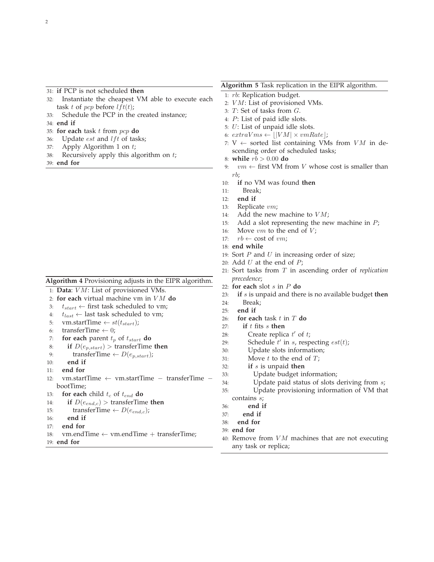- 31: **if** PCP is not scheduled **then**
- 32: Instantiate the cheapest VM able to execute each task *t* of *pcp* before  $lft(t)$ ;
- 33: Schedule the PCP in the created instance;
- 34: **end if**
- 35: **for each** task *t* from *pcp* **do**
- 36: Update *est* and *lft* of tasks;
- 37: Apply Algorithm 1 on *t*;
- 38: Recursively apply this algorithm on *t*;
- 39: **end for**

#### **Algorithm 4** Provisioning adjusts in the EIPR algorithm.

- 1: **Data**: *V M*: List of provisioned VMs.
- 2: **for each** virtual machine vm in *V M* **do**
- 3:  $t_{start} \leftarrow$  first task scheduled to vm;<br>4:  $t_{test} \leftarrow$  last task scheduled to vm;
- 4:  $t_{last} \leftarrow$  last task scheduled to vm;<br>5: vm.startTime  $\leftarrow$  st(t<sub>etent</sub>):
- $v$ m.startTime  $\leftarrow$  *st*( $t_{start}$ );
- 6: transferTime  $\leftarrow$  0;<br>7: **for each** parent  $t_n$
- 7: **for each** parent *t*<sup>p</sup> of *t*start **do**
- 8: **if**  $D(e_{p,start}) >$  transferTime **then**
- 9: transferTime  $\leftarrow D(e_{p,start});$ <br>10: **end if**
- end if
- 11: **end for**
- 12: vm.startTime ← vm.startTime − transferTime − bootTime;
- 13: **for each** child  $t_c$  of  $t_{end}$  **do**
- 14: **if**  $D(e_{end,c})$  > transferTime **then**
- 15: **transferTime**  $\leftarrow D(e_{end,c})$ ;
- 16: **end if**
- 17: **end for**
- 18: vm.endTime  $\leftarrow$  vm.endTime + transferTime;
- 19: **end for**

#### **Algorithm 5** Task replication in the EIPR algorithm.

- 1: *rb*: Replication budget.
- 2: *V M*: List of provisioned VMs.
- 3: *T*: Set of tasks from *G*.
- 4: *P*: List of paid idle slots.
- 5: *U*: List of unpaid idle slots.
- 6:  $extra{Vms} \leftarrow ||VM| \times \text{vmRate}$ ;
- 7:  $V \leftarrow$  sorted list containing VMs from *VM* in descending order of scheduled tasks;
- 8: **while** *rb >* 0*.*00 **do**
- 9:  $vm \leftarrow$  first VM from *V* whose cost is smaller than *rb*;
- 10: **if** no VM was found **then**
- 11: Break;
- 12: **end if**
- 13: Replicate *vm*;
- 14: Add the new machine to *V M*;
- 15: Add a slot representing the new machine in *P*;
- 16: Move *vm* to the end of *V*;
- 17:  $rb \leftarrow \text{cost of } vw;$
- 18: **end while**
- 19: Sort *P* and *U* in increasing order of size;
- 20: Add *U* at the end of *P*;
- 21: Sort tasks from *T* in ascending order of *replication precedence*;
- 22: **for each** slot *s* in *P* **do**
- 23: **if** *s* is unpaid and there is no available budget **then**
- 24: Break;
- 25: **end if**
- 26: **for each** task *t* in *T* **do**
- 27: **if** *t* fits *s* **then**
- 28: Create replica  $t'$  of  $t$ ;
- 29: Schedule  $t'$  in *s*, respecting  $est(t)$ ;
- 30: Update slots information;
- 31: Move *t* to the end of *T*;
- 32: **if** *s* is unpaid **then**
- 33: Update budget information;
- 34: Update paid status of slots deriving from *s*;
- 35: Update provisioning information of VM that contains *s*;
- 36: **end if**
- 37: **end if**
- 38: **end for**
- 39: **end for**
- 40: Remove from *V M* machines that are not executing any task or replica;